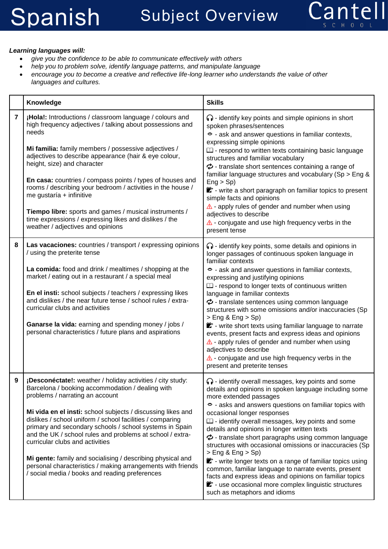

## *Learning languages will:*

- *give you the confidence to be able to communicate effectively with others*
- *help you to problem solve, identify language patterns, and manipulate language*
- *encourage you to become a creative and reflective life-long learner who understands the value of other languages and cultures.*

|   | Knowledge                                                                                                                                                                                                                                                                                                                                                                                                                                                                                                                                                                                                               | <b>Skills</b>                                                                                                                                                                                                                                                                                                                                                                                                                                                                                                                                                                                                                                                                                                                                                                        |
|---|-------------------------------------------------------------------------------------------------------------------------------------------------------------------------------------------------------------------------------------------------------------------------------------------------------------------------------------------------------------------------------------------------------------------------------------------------------------------------------------------------------------------------------------------------------------------------------------------------------------------------|--------------------------------------------------------------------------------------------------------------------------------------------------------------------------------------------------------------------------------------------------------------------------------------------------------------------------------------------------------------------------------------------------------------------------------------------------------------------------------------------------------------------------------------------------------------------------------------------------------------------------------------------------------------------------------------------------------------------------------------------------------------------------------------|
| 7 | ¡Hola!: Introductions / classroom language / colours and<br>high frequency adjectives / talking about possessions and<br>needs<br>Mi familia: family members / possessive adjectives /<br>adjectives to describe appearance (hair & eye colour,<br>height, size) and character<br>En casa: countries / compass points / types of houses and<br>rooms / describing your bedroom / activities in the house /<br>me gustaría + infinitive<br>Tiempo libre: sports and games / musical instruments /<br>time expressions / expressing likes and dislikes / the<br>weather / adjectives and opinions                         | $\bigcap$ - identify key points and simple opinions in short<br>spoken phrases/sentences<br>S - ask and answer questions in familiar contexts,<br>expressing simple opinions<br>$\Box$ - respond to written texts containing basic language<br>structures and familiar vocabulary<br>$\phi$ - translate short sentences containing a range of<br>familiar language structures and vocabulary (Sp > Eng &<br>Eng > Sp<br>** - write a short paragraph on familiar topics to present<br>simple facts and opinions<br>$\triangle$ - apply rules of gender and number when using<br>adjectives to describe<br>$\triangle$ - conjugate and use high frequency verbs in the<br>present tense                                                                                               |
| 8 | Las vacaciones: countries / transport / expressing opinions<br>/ using the preterite tense<br>La comida: food and drink / mealtimes / shopping at the<br>market / eating out in a restaurant / a special meal<br>En el insti: school subjects / teachers / expressing likes<br>and dislikes / the near future tense / school rules / extra-<br>curricular clubs and activities<br>Ganarse la vida: earning and spending money / jobs /<br>personal characteristics / future plans and aspirations                                                                                                                       | $\bigcap$ - identify key points, some details and opinions in<br>longer passages of continuous spoken language in<br>familiar contexts<br>S - ask and answer questions in familiar contexts,<br>expressing and justifying opinions<br>$\square$ - respond to longer texts of continuous written<br>language in familiar contexts<br>$\phi$ - translate sentences using common language<br>structures with some omissions and/or inaccuracies (Sp<br>$>$ Eng & Eng $>$ Sp)<br>** - write short texts using familiar language to narrate<br>events, present facts and express ideas and opinions<br>$\triangle$ - apply rules of gender and number when using<br>adjectives to describe<br>$\triangle$ - conjugate and use high frequency verbs in the<br>present and preterite tenses |
| 9 | ¡Desconéctate!: weather / holiday activities / city study:<br>Barcelona / booking accommodation / dealing with<br>problems / narrating an account<br>Mi vida en el insti: school subjects / discussing likes and<br>dislikes / school uniform / school facilities / comparing<br>primary and secondary schools / school systems in Spain<br>and the UK / school rules and problems at school / extra-<br>curricular clubs and activities<br>Mi gente: family and socialising / describing physical and<br>personal characteristics / making arrangements with friends<br>/ social media / books and reading preferences | o - identify overall messages, key points and some<br>details and opinions in spoken language including some<br>more extended passages<br>→ asks and answers questions on familiar topics with<br>occasional longer responses<br>$\square$ - identify overall messages, key points and some<br>details and opinions in longer written texts<br>$\phi$ - translate short paragraphs using common language<br>structures with occasional omissions or inaccuracies (Sp<br>$>$ Eng & Eng $>$ Sp)<br>** - write longer texts on a range of familiar topics using<br>common, familiar language to narrate events, present<br>facts and express ideas and opinions on familiar topics<br>to - use occasional more complex linguistic structures<br>such as metaphors and idioms            |